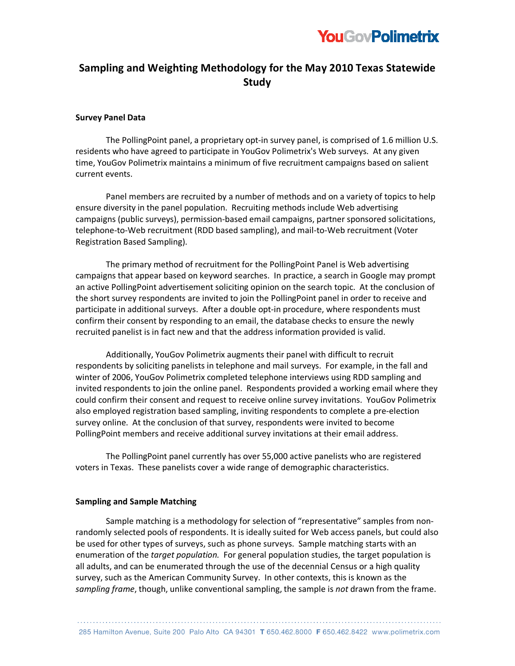

# **Sampling and Weighting Methodology for the May 2010 Texas Statewide Study**

### **Survey Panel Data**

The PollingPoint panel, a proprietary opt-in survey panel, is comprised of 1.6 million U.S. residents who have agreed to participate in YouGov Polimetrix's Web surveys. At any given time, YouGov Polimetrix maintains a minimum of five recruitment campaigns based on salient current events.

Panel members are recruited by a number of methods and on a variety of topics to help ensure diversity in the panel population. Recruiting methods include Web advertising campaigns (public surveys), permission-based email campaigns, partner sponsored solicitations, telephone-to-Web recruitment (RDD based sampling), and mail-to-Web recruitment (Voter Registration Based Sampling).

The primary method of recruitment for the PollingPoint Panel is Web advertising campaigns that appear based on keyword searches. In practice, a search in Google may prompt an active PollingPoint advertisement soliciting opinion on the search topic. At the conclusion of the short survey respondents are invited to join the PollingPoint panel in order to receive and participate in additional surveys. After a double opt-in procedure, where respondents must confirm their consent by responding to an email, the database checks to ensure the newly recruited panelist is in fact new and that the address information provided is valid.

Additionally, YouGov Polimetrix augments their panel with difficult to recruit respondents by soliciting panelists in telephone and mail surveys. For example, in the fall and winter of 2006, YouGov Polimetrix completed telephone interviews using RDD sampling and invited respondents to join the online panel. Respondents provided a working email where they could confirm their consent and request to receive online survey invitations. YouGov Polimetrix also employed registration based sampling, inviting respondents to complete a pre-election survey online. At the conclusion of that survey, respondents were invited to become PollingPoint members and receive additional survey invitations at their email address.

The PollingPoint panel currently has over 55,000 active panelists who are registered voters in Texas. These panelists cover a wide range of demographic characteristics.

### **Sampling and Sample Matching**

Sample matching is a methodology for selection of "representative" samples from nonrandomly selected pools of respondents. It is ideally suited for Web access panels, but could also be used for other types of surveys, such as phone surveys. Sample matching starts with an enumeration of the *target population.* For general population studies, the target population is all adults, and can be enumerated through the use of the decennial Census or a high quality survey, such as the American Community Survey. In other contexts, this is known as the *sampling frame*, though, unlike conventional sampling, the sample is *not* drawn from the frame.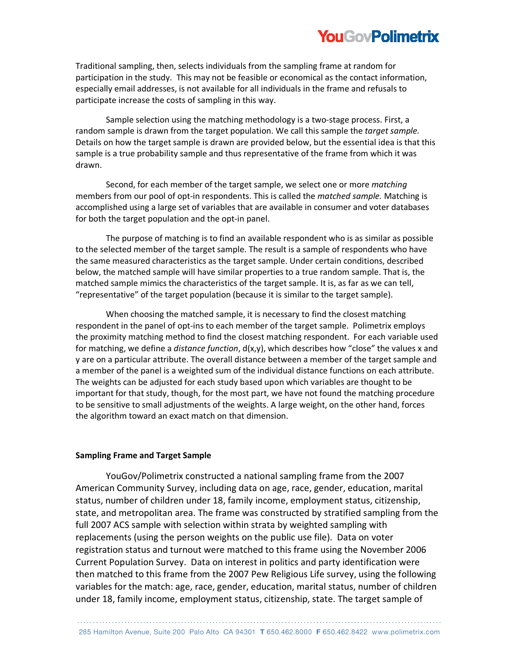# **YouGovPolimetrix**

Traditional sampling, then, selects individuals from the sampling frame at random for participation in the study. This may not be feasible or economical as the contact information, especially email addresses, is not available for all individuals in the frame and refusals to participate increase the costs of sampling in this way.

Sample selection using the matching methodology is a two-stage process. First, a random sample is drawn from the target population. We call this sample the *target sample.*  Details on how the target sample is drawn are provided below, but the essential idea is that this sample is a true probability sample and thus representative of the frame from which it was drawn.

Second, for each member of the target sample, we select one or more *matching*  members from our pool of opt-in respondents. This is called the *matched sample.* Matching is accomplished using a large set of variables that are available in consumer and voter databases for both the target population and the opt-in panel.

The purpose of matching is to find an available respondent who is as similar as possible to the selected member of the target sample. The result is a sample of respondents who have the same measured characteristics as the target sample. Under certain conditions, described below, the matched sample will have similar properties to a true random sample. That is, the matched sample mimics the characteristics of the target sample. It is, as far as we can tell, "representative" of the target population (because it is similar to the target sample).

When choosing the matched sample, it is necessary to find the closest matching respondent in the panel of opt-ins to each member of the target sample. Polimetrix employs the proximity matching method to find the closest matching respondent. For each variable used for matching, we define a *distance function*, d(x,y), which describes how "close" the values x and y are on a particular attribute. The overall distance between a member of the target sample and a member of the panel is a weighted sum of the individual distance functions on each attribute. The weights can be adjusted for each study based upon which variables are thought to be important for that study, though, for the most part, we have not found the matching procedure to be sensitive to small adjustments of the weights. A large weight, on the other hand, forces the algorithm toward an exact match on that dimension.

## **Sampling Frame and Target Sample**

YouGov/Polimetrix constructed a national sampling frame from the 2007 American Community Survey, including data on age, race, gender, education, marital status, number of children under 18, family income, employment status, citizenship, state, and metropolitan area. The frame was constructed by stratified sampling from the full 2007 ACS sample with selection within strata by weighted sampling with replacements (using the person weights on the public use file). Data on voter registration status and turnout were matched to this frame using the November 2006 Current Population Survey. Data on interest in politics and party identification were then matched to this frame from the 2007 Pew Religious Life survey, using the following variables for the match: age, race, gender, education, marital status, number of children under 18, family income, employment status, citizenship, state. The target sample of